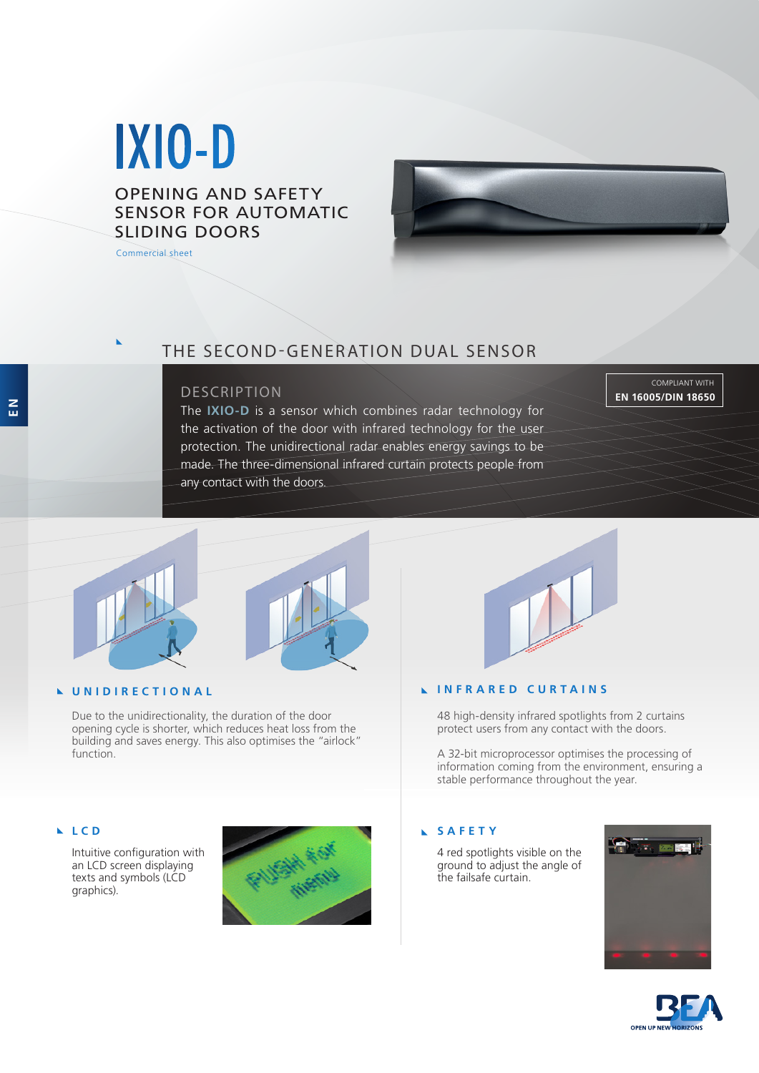# IXIO-D

OPENING AND SAFETY SENSOR FOR AUTOMATIC SLIDING DOORS

Commercial sheet



### DESCRIPTION

The **IXIO-D** is a sensor which combines radar technology for the activation of the door with infrared technology for the user protection. The unidirectional radar enables energy savings to be made. The three-dimensional infrared curtain protects people from any contact with the doors.

COMPLIANT WITH **EN 16005/DIN 18650**



#### **UNIDIRECTIONAL**

Due to the unidirectionality, the duration of the door opening cycle is shorter, which reduces heat loss from the building and saves energy. This also optimises the "airlock" function.

#### **LCD**

Intuitive configuration with an LCD screen displaying texts and symbols (LCD graphics).





#### **INFRARED CURTAINS**

48 high-density infrared spotlights from 2 curtains protect users from any contact with the doors.

A 32-bit microprocessor optimises the processing of information coming from the environment, ensuring a stable performance throughout the year.

## **SAFETY**

4 red spotlights visible on the ground to adjust the angle of the failsafe curtain.